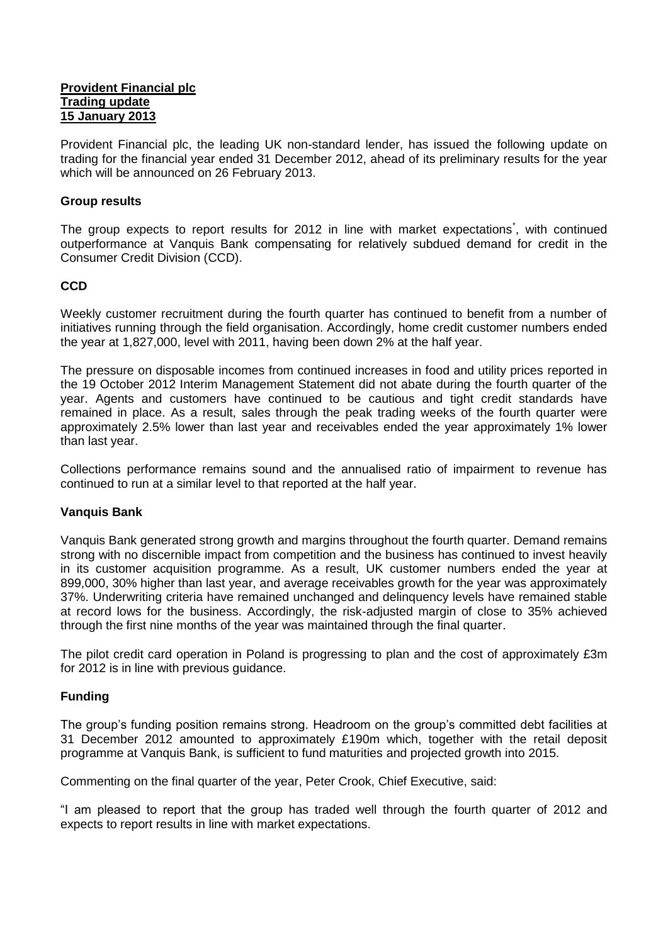#### **Provident Financial plc Trading update 15 January 2013**

Provident Financial plc, the leading UK non-standard lender, has issued the following update on trading for the financial year ended 31 December 2012, ahead of its preliminary results for the year which will be announced on 26 February 2013.

## **Group results**

The group expects to report results for 2012 in line with market expectations<sup>\*</sup>, with continued outperformance at Vanquis Bank compensating for relatively subdued demand for credit in the Consumer Credit Division (CCD).

# **CCD**

Weekly customer recruitment during the fourth quarter has continued to benefit from a number of initiatives running through the field organisation. Accordingly, home credit customer numbers ended the year at 1,827,000, level with 2011, having been down 2% at the half year.

The pressure on disposable incomes from continued increases in food and utility prices reported in the 19 October 2012 Interim Management Statement did not abate during the fourth quarter of the year. Agents and customers have continued to be cautious and tight credit standards have remained in place. As a result, sales through the peak trading weeks of the fourth quarter were approximately 2.5% lower than last year and receivables ended the year approximately 1% lower than last year.

Collections performance remains sound and the annualised ratio of impairment to revenue has continued to run at a similar level to that reported at the half year.

## **Vanquis Bank**

Vanquis Bank generated strong growth and margins throughout the fourth quarter. Demand remains strong with no discernible impact from competition and the business has continued to invest heavily in its customer acquisition programme. As a result, UK customer numbers ended the year at 899,000, 30% higher than last year, and average receivables growth for the year was approximately 37%. Underwriting criteria have remained unchanged and delinquency levels have remained stable at record lows for the business. Accordingly, the risk-adjusted margin of close to 35% achieved through the first nine months of the year was maintained through the final quarter.

The pilot credit card operation in Poland is progressing to plan and the cost of approximately £3m for 2012 is in line with previous guidance.

## **Funding**

The group's funding position remains strong. Headroom on the group's committed debt facilities at 31 December 2012 amounted to approximately £190m which, together with the retail deposit programme at Vanquis Bank, is sufficient to fund maturities and projected growth into 2015.

Commenting on the final quarter of the year, Peter Crook, Chief Executive, said:

"I am pleased to report that the group has traded well through the fourth quarter of 2012 and expects to report results in line with market expectations.